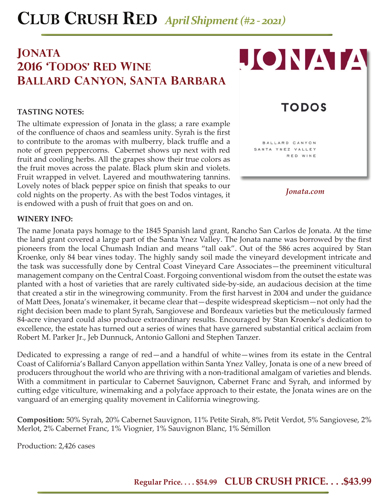# **Jonata 2016 'TODOS' RED WINE ballard canyon, santa barbara**

### **TASTING NOTES:**

The ultimate expression of Jonata in the glass; a rare example of the confluence of chaos and seamless unity. Syrah is the first to contribute to the aromas with mulberry, black truffle and a note of green peppercorns. Cabernet shows up next with red fruit and cooling herbs. All the grapes show their true colors as the fruit moves across the palate. Black plum skin and violets. Fruit wrapped in velvet. Layered and mouthwatering tannins. Lovely notes of black pepper spice on finish that speaks to our cold nights on the property. As with the best Todos vintages, it is endowed with a push of fruit that goes on and on.



#### **WINERY INFO:**

The name Jonata pays homage to the 1845 Spanish land grant, Rancho San Carlos de Jonata. At the time the land grant covered a large part of the Santa Ynez Valley. The Jonata name was borrowed by the first pioneers from the local Chumash Indian and means "tall oak". Out of the 586 acres acquired by Stan Kroenke, only 84 bear vines today. The highly sandy soil made the vineyard development intricate and the task was successfully done by Central Coast Vineyard Care Associates—the preeminent viticultural management company on the Central Coast. Forgoing conventional wisdom from the outset the estate was planted with a host of varieties that are rarely cultivated side-by-side, an audacious decision at the time that created a stir in the winegrowing community. From the first harvest in 2004 and under the guidance of Matt Dees, Jonata's winemaker, it became clear that—despite widespread skepticism—not only had the right decision been made to plant Syrah, Sangiovese and Bordeaux varieties but the meticulously farmed 84-acre vineyard could also produce extraordinary results. Encouraged by Stan Kroenke's dedication to excellence, the estate has turned out a series of wines that have garnered substantial critical acclaim from Robert M. Parker Jr., Jeb Dunnuck, Antonio Galloni and Stephen Tanzer.

Dedicated to expressing a range of red—and a handful of white—wines from its estate in the Central Coast of California's Ballard Canyon appellation within Santa Ynez Valley, Jonata is one of a new breed of producers throughout the world who are thriving with a non-traditional amalgam of varieties and blends. With a commitment in particular to Cabernet Sauvignon, Cabernet Franc and Syrah, and informed by cutting edge viticulture, winemaking and a polyface approach to their estate, the Jonata wines are on the vanguard of an emerging quality movement in California winegrowing.

**Composition:** 50% Syrah, 20% Cabernet Sauvignon, 11% Petite Sirah, 8% Petit Verdot, 5% Sangiovese, 2% Merlot, 2% Cabernet Franc, 1% Viognier, 1% Sauvignon Blanc, 1% Sémillon

Production: 2,426 cases